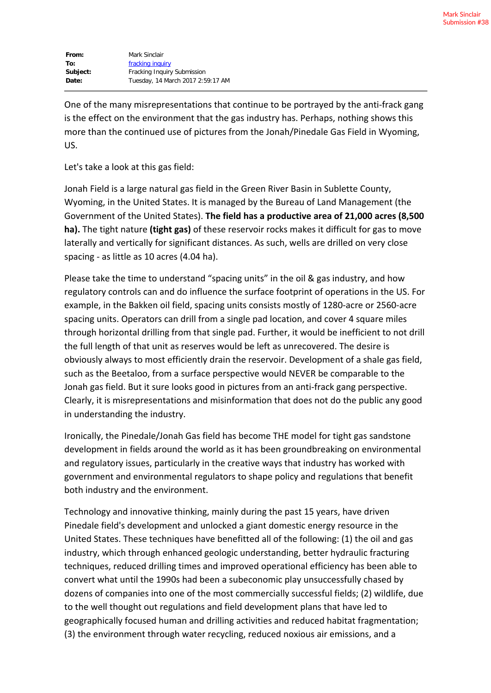| From:    | Mark Sinclair                     |
|----------|-----------------------------------|
| To:      | fracking inquiry                  |
| Subject: | Fracking Inquiry Submission       |
| Date:    | Tuesday, 14 March 2017 2:59:17 AM |

One of the many misrepresentations that continue to be portrayed by the anti-frack gang is the effect on the environment that the gas industry has. Perhaps, nothing shows this more than the continued use of pictures from the Jonah/Pinedale Gas Field in Wyoming, US.

Let's take a look at this gas field:

Jonah Field is a large natural gas field in the Green River Basin in Sublette County, Wyoming, in the United States. It is managed by the Bureau of Land Management (the Government of the United States). **The field has a productive area of 21,000 acres (8,500 ha).** The tight nature **(tight gas)** of these reservoir rocks makes it difficult for gas to move laterally and vertically for significant distances. As such, wells are drilled on very close spacing - as little as 10 acres (4.04 ha).

Please take the time to understand "spacing units" in the oil & gas industry, and how regulatory controls can and do influence the surface footprint of operations in the US. For example, in the Bakken oil field, spacing units consists mostly of 1280-acre or 2560-acre spacing units. Operators can drill from a single pad location, and cover 4 square miles through horizontal drilling from that single pad. Further, it would be inefficient to not drill the full length of that unit as reserves would be left as unrecovered. The desire is obviously always to most efficiently drain the reservoir. Development of a shale gas field, such as the Beetaloo, from a surface perspective would NEVER be comparable to the Jonah gas field. But it sure looks good in pictures from an anti-frack gang perspective. Clearly, it is misrepresentations and misinformation that does not do the public any good in understanding the industry.

Ironically, the Pinedale/Jonah Gas field has become THE model for tight gas sandstone development in fields around the world as it has been groundbreaking on environmental and regulatory issues, particularly in the creative ways that industry has worked with government and environmental regulators to shape policy and regulations that benefit both industry and the environment.

Technology and innovative thinking, mainly during the past 15 years, have driven Pinedale field's development and unlocked a giant domestic energy resource in the United States. These techniques have benefitted all of the following: (1) the oil and gas industry, which through enhanced geologic understanding, better hydraulic fracturing techniques, reduced drilling times and improved operational efficiency has been able to convert what until the 1990s had been a subeconomic play unsuccessfully chased by dozens of companies into one of the most commercially successful fields; (2) wildlife, due to the well thought out regulations and field development plans that have led to geographically focused human and drilling activities and reduced habitat fragmentation; (3) the environment through water recycling, reduced noxious air emissions, and a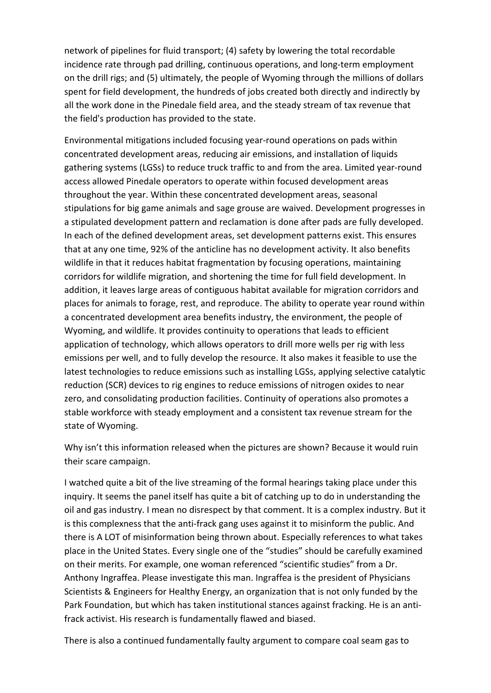network of pipelines for fluid transport; (4) safety by lowering the total recordable incidence rate through pad drilling, continuous operations, and long-term employment on the drill rigs; and (5) ultimately, the people of Wyoming through the millions of dollars spent for field development, the hundreds of jobs created both directly and indirectly by all the work done in the Pinedale field area, and the steady stream of tax revenue that the field's production has provided to the state.

Environmental mitigations included focusing year-round operations on pads within concentrated development areas, reducing air emissions, and installation of liquids gathering systems (LGSs) to reduce truck traffic to and from the area. Limited year-round access allowed Pinedale operators to operate within focused development areas throughout the year. Within these concentrated development areas, seasonal stipulations for big game animals and sage grouse are waived. Development progresses in a stipulated development pattern and reclamation is done after pads are fully developed. In each of the defined development areas, set development patterns exist. This ensures that at any one time, 92% of the anticline has no development activity. It also benefits wildlife in that it reduces habitat fragmentation by focusing operations, maintaining corridors for wildlife migration, and shortening the time for full field development. In addition, it leaves large areas of contiguous habitat available for migration corridors and places for animals to forage, rest, and reproduce. The ability to operate year round within a concentrated development area benefits industry, the environment, the people of Wyoming, and wildlife. It provides continuity to operations that leads to efficient application of technology, which allows operators to drill more wells per rig with less emissions per well, and to fully develop the resource. It also makes it feasible to use the latest technologies to reduce emissions such as installing LGSs, applying selective catalytic reduction (SCR) devices to rig engines to reduce emissions of nitrogen oxides to near zero, and consolidating production facilities. Continuity of operations also promotes a stable workforce with steady employment and a consistent tax revenue stream for the state of Wyoming.

Why isn't this information released when the pictures are shown? Because it would ruin their scare campaign.

I watched quite a bit of the live streaming of the formal hearings taking place under this inquiry. It seems the panel itself has quite a bit of catching up to do in understanding the oil and gas industry. I mean no disrespect by that comment. It is a complex industry. But it is this complexness that the anti-frack gang uses against it to misinform the public. And there is A LOT of misinformation being thrown about. Especially references to what takes place in the United States. Every single one of the "studies" should be carefully examined on their merits. For example, one woman referenced "scientific studies" from a Dr. Anthony Ingraffea. Please investigate this man. Ingraffea is the president of Physicians Scientists & Engineers for Healthy Energy, an organization that is not only funded by the Park Foundation, but which has taken institutional stances against fracking. He is an antifrack activist. His research is fundamentally flawed and biased.

There is also a continued fundamentally faulty argument to compare coal seam gas to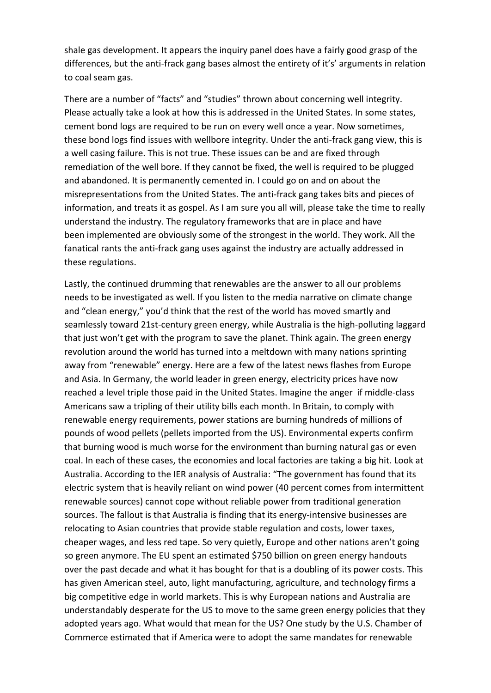shale gas development. It appears the inquiry panel does have a fairly good grasp of the differences, but the anti-frack gang bases almost the entirety of it's' arguments in relation to coal seam gas.

There are a number of "facts" and "studies" thrown about concerning well integrity. Please actually take a look at how this is addressed in the United States. In some states, cement bond logs are required to be run on every well once a year. Now sometimes, these bond logs find issues with wellbore integrity. Under the anti-frack gang view, this is a well casing failure. This is not true. These issues can be and are fixed through remediation of the well bore. If they cannot be fixed, the well is required to be plugged and abandoned. It is permanently cemented in. I could go on and on about the misrepresentations from the United States. The anti-frack gang takes bits and pieces of information, and treats it as gospel. As I am sure you all will, please take the time to really understand the industry. The regulatory frameworks that are in place and have been implemented are obviously some of the strongest in the world. They work. All the fanatical rants the anti-frack gang uses against the industry are actually addressed in these regulations.

Lastly, the continued drumming that renewables are the answer to all our problems needs to be investigated as well. If you listen to the media narrative on climate change and "clean energy," you'd think that the rest of the world has moved smartly and seamlessly toward 21st-century green energy, while Australia is the high-polluting laggard that just won't get with the program to save the planet. Think again. The green energy revolution around the world has turned into a meltdown with many nations sprinting away from "renewable" energy. Here are a few of the latest news flashes from Europe and Asia. In Germany, the world leader in green energy, electricity prices have now reached a level triple those paid in the United States. Imagine the anger if middle-class Americans saw a tripling of their utility bills each month. In Britain, to comply with renewable energy requirements, power stations are burning hundreds of millions of pounds of wood pellets (pellets imported from the US). Environmental experts confirm that burning wood is much worse for the environment than burning natural gas or even coal. In each of these cases, the economies and local factories are taking a big hit. Look at Australia. According to the IER analysis of Australia: "The government has found that its electric system that is heavily reliant on wind power (40 percent comes from intermittent renewable sources) cannot cope without reliable power from traditional generation sources. The fallout is that Australia is finding that its energy-intensive businesses are relocating to Asian countries that provide stable regulation and costs, lower taxes, cheaper wages, and less red tape. So very quietly, Europe and other nations aren't going so green anymore. The EU spent an estimated \$750 billion on green energy handouts over the past decade and what it has bought for that is a doubling of its power costs. This has given American steel, auto, light manufacturing, agriculture, and technology firms a big competitive edge in world markets. This is why European nations and Australia are understandably desperate for the US to move to the same green energy policies that they adopted years ago. What would that mean for the US? One study by the U.S. Chamber of Commerce estimated that if America were to adopt the same mandates for renewable